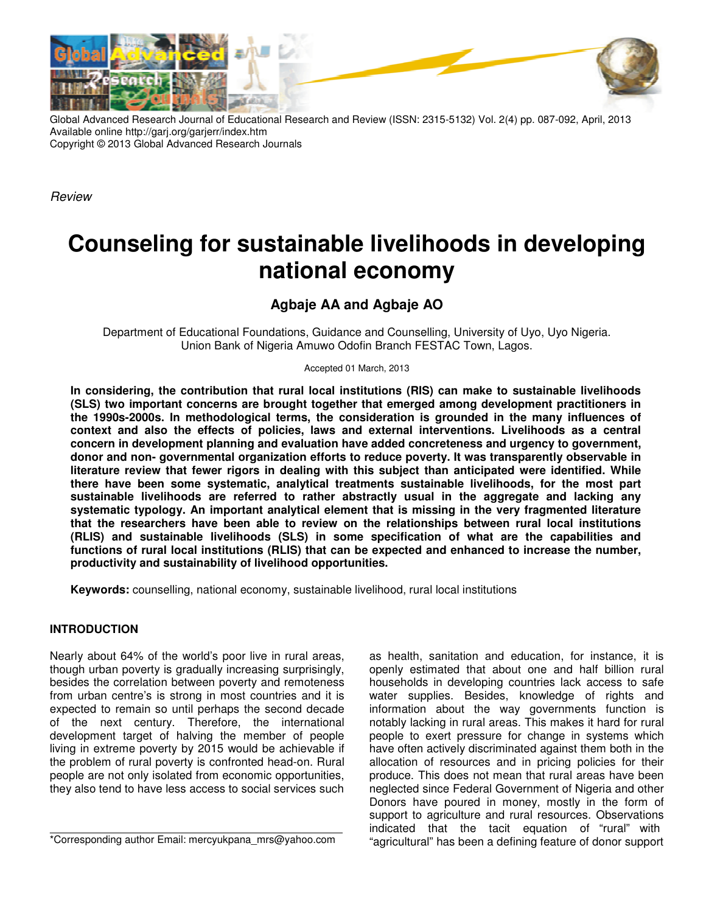

Global Advanced Research Journal of Educational Research and Review (ISSN: 2315-5132) Vol. 2(4) pp. 087-092, April, 2013 Available online http://garj.org/garjerr/index.htm Copyright © 2013 Global Advanced Research Journals

*Review*

# **Counseling for sustainable livelihoods in developing national economy**

## **Agbaje AA and Agbaje AO**

Department of Educational Foundations, Guidance and Counselling, University of Uyo, Uyo Nigeria. Union Bank of Nigeria Amuwo Odofin Branch FESTAC Town, Lagos.

Accepted 01 March, 2013

**In considering, the contribution that rural local institutions (RIS) can make to sustainable livelihoods (SLS) two important concerns are brought together that emerged among development practitioners in the 1990s-2000s. In methodological terms, the consideration is grounded in the many influences of context and also the effects of policies, laws and external interventions. Livelihoods as a central concern in development planning and evaluation have added concreteness and urgency to government, donor and non- governmental organization efforts to reduce poverty. It was transparently observable in literature review that fewer rigors in dealing with this subject than anticipated were identified. While there have been some systematic, analytical treatments sustainable livelihoods, for the most part sustainable livelihoods are referred to rather abstractly usual in the aggregate and lacking any systematic typology. An important analytical element that is missing in the very fragmented literature that the researchers have been able to review on the relationships between rural local institutions (RLIS) and sustainable livelihoods (SLS) in some specification of what are the capabilities and functions of rural local institutions (RLIS) that can be expected and enhanced to increase the number, productivity and sustainability of livelihood opportunities.** 

**Keywords:** counselling, national economy, sustainable livelihood, rural local institutions

## **INTRODUCTION**

Nearly about 64% of the world's poor live in rural areas, though urban poverty is gradually increasing surprisingly, besides the correlation between poverty and remoteness from urban centre's is strong in most countries and it is expected to remain so until perhaps the second decade of the next century. Therefore, the international development target of halving the member of people living in extreme poverty by 2015 would be achievable if the problem of rural poverty is confronted head-on. Rural people are not only isolated from economic opportunities, they also tend to have less access to social services such

as health, sanitation and education, for instance, it is openly estimated that about one and half billion rural households in developing countries lack access to safe water supplies. Besides, knowledge of rights and information about the way governments function is notably lacking in rural areas. This makes it hard for rural people to exert pressure for change in systems which have often actively discriminated against them both in the allocation of resources and in pricing policies for their produce. This does not mean that rural areas have been neglected since Federal Government of Nigeria and other Donors have poured in money, mostly in the form of support to agriculture and rural resources. Observations indicated that the tacit equation of "rural" with "agricultural" has been a defining feature of donor support

<sup>\*</sup>Corresponding author Email: mercyukpana\_mrs@yahoo.com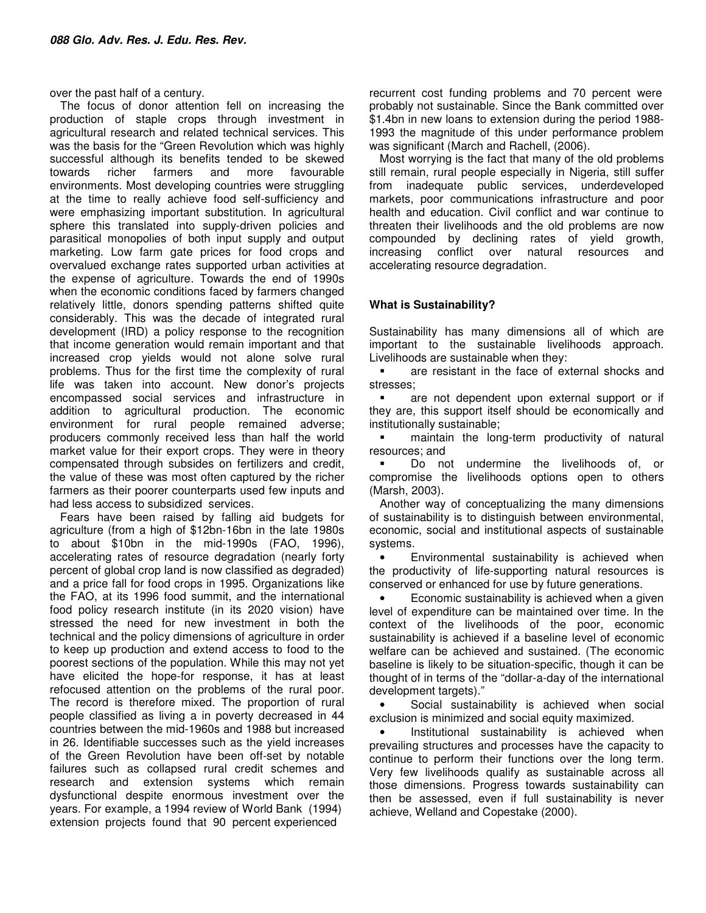over the past half of a century.

The focus of donor attention fell on increasing the production of staple crops through investment in agricultural research and related technical services. This was the basis for the "Green Revolution which was highly successful although its benefits tended to be skewed towards richer farmers and more favourable environments. Most developing countries were struggling at the time to really achieve food self-sufficiency and were emphasizing important substitution. In agricultural sphere this translated into supply-driven policies and parasitical monopolies of both input supply and output marketing. Low farm gate prices for food crops and overvalued exchange rates supported urban activities at the expense of agriculture. Towards the end of 1990s when the economic conditions faced by farmers changed relatively little, donors spending patterns shifted quite considerably. This was the decade of integrated rural development (IRD) a policy response to the recognition that income generation would remain important and that increased crop yields would not alone solve rural problems. Thus for the first time the complexity of rural life was taken into account. New donor's projects encompassed social services and infrastructure in addition to agricultural production. The economic environment for rural people remained adverse; producers commonly received less than half the world market value for their export crops. They were in theory compensated through subsides on fertilizers and credit, the value of these was most often captured by the richer farmers as their poorer counterparts used few inputs and had less access to subsidized services.

Fears have been raised by falling aid budgets for agriculture (from a high of \$12bn-16bn in the late 1980s to about \$10bn in the mid-1990s (FAO, 1996), accelerating rates of resource degradation (nearly forty percent of global crop land is now classified as degraded) and a price fall for food crops in 1995. Organizations like the FAO, at its 1996 food summit, and the international food policy research institute (in its 2020 vision) have stressed the need for new investment in both the technical and the policy dimensions of agriculture in order to keep up production and extend access to food to the poorest sections of the population. While this may not yet have elicited the hope-for response, it has at least refocused attention on the problems of the rural poor. The record is therefore mixed. The proportion of rural people classified as living a in poverty decreased in 44 countries between the mid-1960s and 1988 but increased in 26. Identifiable successes such as the yield increases of the Green Revolution have been off-set by notable failures such as collapsed rural credit schemes and research and extension systems which remain dysfunctional despite enormous investment over the years. For example, a 1994 review of World Bank (1994) extension projects found that 90 percent experienced

recurrent cost funding problems and 70 percent were probably not sustainable. Since the Bank committed over \$1.4bn in new loans to extension during the period 1988- 1993 the magnitude of this under performance problem was significant (March and Rachell, (2006).

Most worrying is the fact that many of the old problems still remain, rural people especially in Nigeria, still suffer from inadequate public services, underdeveloped markets, poor communications infrastructure and poor health and education. Civil conflict and war continue to threaten their livelihoods and the old problems are now compounded by declining rates of yield growth, increasing conflict over natural resources and accelerating resource degradation.

## **What is Sustainability?**

Sustainability has many dimensions all of which are important to the sustainable livelihoods approach. Livelihoods are sustainable when they:

**EXECUTE:** The face of external shocks and stresses;

**a** are not dependent upon external support or if they are, this support itself should be economically and institutionally sustainable;

**EXECUTE:** maintain the long-term productivity of natural resources; and

 Do not undermine the livelihoods of, or compromise the livelihoods options open to others (Marsh, 2003).

Another way of conceptualizing the many dimensions of sustainability is to distinguish between environmental, economic, social and institutional aspects of sustainable systems.

• Environmental sustainability is achieved when the productivity of life-supporting natural resources is conserved or enhanced for use by future generations.

Economic sustainability is achieved when a given level of expenditure can be maintained over time. In the context of the livelihoods of the poor, economic sustainability is achieved if a baseline level of economic welfare can be achieved and sustained. (The economic baseline is likely to be situation-specific, though it can be thought of in terms of the "dollar-a-day of the international development targets)."

Social sustainability is achieved when social exclusion is minimized and social equity maximized.

Institutional sustainability is achieved when prevailing structures and processes have the capacity to continue to perform their functions over the long term. Very few livelihoods qualify as sustainable across all those dimensions. Progress towards sustainability can then be assessed, even if full sustainability is never achieve, Welland and Copestake (2000).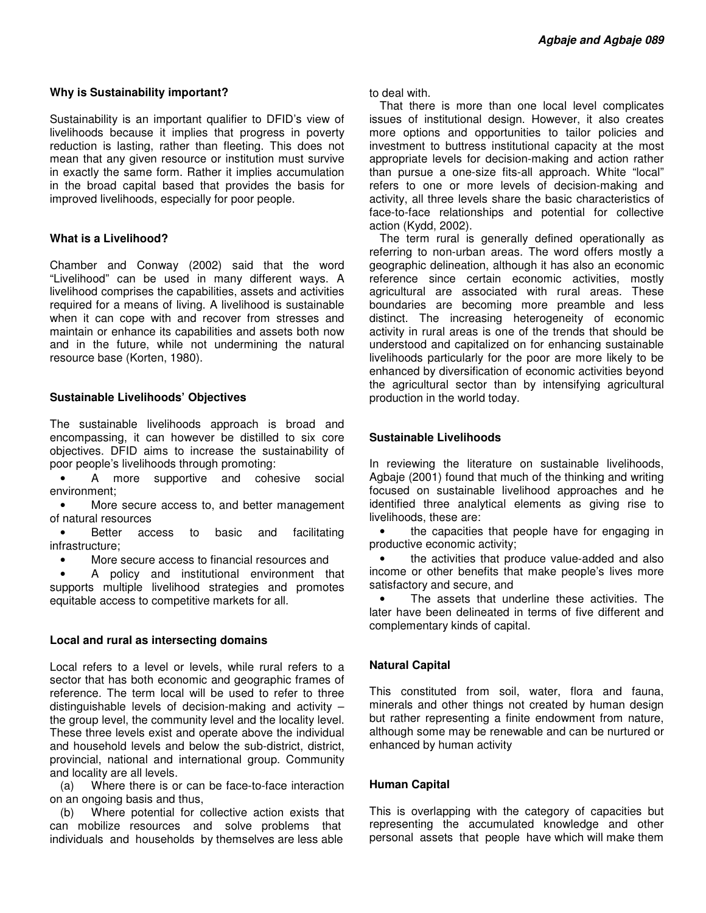## **Why is Sustainability important?**

Sustainability is an important qualifier to DFID's view of livelihoods because it implies that progress in poverty reduction is lasting, rather than fleeting. This does not mean that any given resource or institution must survive in exactly the same form. Rather it implies accumulation in the broad capital based that provides the basis for improved livelihoods, especially for poor people.

## **What is a Livelihood?**

Chamber and Conway (2002) said that the word "Livelihood" can be used in many different ways. A livelihood comprises the capabilities, assets and activities required for a means of living. A livelihood is sustainable when it can cope with and recover from stresses and maintain or enhance its capabilities and assets both now and in the future, while not undermining the natural resource base (Korten, 1980).

## **Sustainable Livelihoods' Objectives**

The sustainable livelihoods approach is broad and encompassing, it can however be distilled to six core objectives. DFID aims to increase the sustainability of poor people's livelihoods through promoting:

• A more supportive and cohesive social environment;

More secure access to, and better management of natural resources

• Better access to basic and facilitating infrastructure;

• More secure access to financial resources and

• A policy and institutional environment that supports multiple livelihood strategies and promotes equitable access to competitive markets for all.

## **Local and rural as intersecting domains**

Local refers to a level or levels, while rural refers to a sector that has both economic and geographic frames of reference. The term local will be used to refer to three distinguishable levels of decision-making and activity – the group level, the community level and the locality level. These three levels exist and operate above the individual and household levels and below the sub-district, district, provincial, national and international group. Community and locality are all levels.

(a) Where there is or can be face-to-face interaction on an ongoing basis and thus,

(b) Where potential for collective action exists that can mobilize resources and solve problems that individuals and households by themselves are less able

to deal with.

That there is more than one local level complicates issues of institutional design. However, it also creates more options and opportunities to tailor policies and investment to buttress institutional capacity at the most appropriate levels for decision-making and action rather than pursue a one-size fits-all approach. White "local" refers to one or more levels of decision-making and activity, all three levels share the basic characteristics of face-to-face relationships and potential for collective action (Kydd, 2002).

The term rural is generally defined operationally as referring to non-urban areas. The word offers mostly a geographic delineation, although it has also an economic reference since certain economic activities, mostly agricultural are associated with rural areas. These boundaries are becoming more preamble and less distinct. The increasing heterogeneity of economic activity in rural areas is one of the trends that should be understood and capitalized on for enhancing sustainable livelihoods particularly for the poor are more likely to be enhanced by diversification of economic activities beyond the agricultural sector than by intensifying agricultural production in the world today.

## **Sustainable Livelihoods**

In reviewing the literature on sustainable livelihoods, Agbaje (2001) found that much of the thinking and writing focused on sustainable livelihood approaches and he identified three analytical elements as giving rise to livelihoods, these are:

the capacities that people have for engaging in productive economic activity;

the activities that produce value-added and also income or other benefits that make people's lives more satisfactory and secure, and

The assets that underline these activities. The later have been delineated in terms of five different and complementary kinds of capital.

## **Natural Capital**

This constituted from soil, water, flora and fauna, minerals and other things not created by human design but rather representing a finite endowment from nature, although some may be renewable and can be nurtured or enhanced by human activity

## **Human Capital**

This is overlapping with the category of capacities but representing the accumulated knowledge and other personal assets that people have which will make them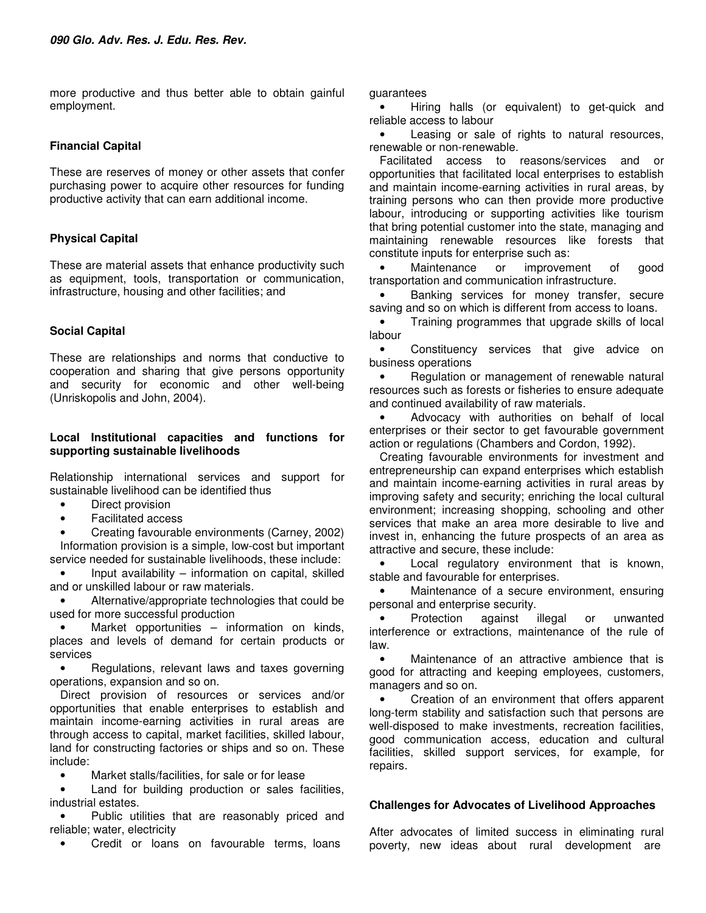more productive and thus better able to obtain gainful employment.

#### **Financial Capital**

These are reserves of money or other assets that confer purchasing power to acquire other resources for funding productive activity that can earn additional income.

## **Physical Capital**

These are material assets that enhance productivity such as equipment, tools, transportation or communication, infrastructure, housing and other facilities; and

## **Social Capital**

These are relationships and norms that conductive to cooperation and sharing that give persons opportunity and security for economic and other well-being (Unriskopolis and John, 2004).

#### **Local Institutional capacities and functions for supporting sustainable livelihoods**

Relationship international services and support for sustainable livelihood can be identified thus

- Direct provision
- Facilitated access

• Creating favourable environments (Carney, 2002) Information provision is a simple, low-cost but important service needed for sustainable livelihoods, these include:

• Input availability – information on capital, skilled and or unskilled labour or raw materials.

• Alternative/appropriate technologies that could be used for more successful production

• Market opportunities – information on kinds, places and levels of demand for certain products or services

• Regulations, relevant laws and taxes governing operations, expansion and so on.

Direct provision of resources or services and/or opportunities that enable enterprises to establish and maintain income-earning activities in rural areas are through access to capital, market facilities, skilled labour, land for constructing factories or ships and so on. These include:

• Market stalls/facilities, for sale or for lease

Land for building production or sales facilities, industrial estates.

• Public utilities that are reasonably priced and reliable; water, electricity

• Credit or loans on favourable terms, loans

guarantees

• Hiring halls (or equivalent) to get-quick and reliable access to labour

Leasing or sale of rights to natural resources, renewable or non-renewable.

Facilitated access to reasons/services and or opportunities that facilitated local enterprises to establish and maintain income-earning activities in rural areas, by training persons who can then provide more productive labour, introducing or supporting activities like tourism that bring potential customer into the state, managing and maintaining renewable resources like forests that constitute inputs for enterprise such as:

Maintenance or improvement of good transportation and communication infrastructure.

• Banking services for money transfer, secure saving and so on which is different from access to loans.

• Training programmes that upgrade skills of local labour

• Constituency services that give advice on business operations

Regulation or management of renewable natural resources such as forests or fisheries to ensure adequate and continued availability of raw materials.

• Advocacy with authorities on behalf of local enterprises or their sector to get favourable government action or regulations (Chambers and Cordon, 1992).

Creating favourable environments for investment and entrepreneurship can expand enterprises which establish and maintain income-earning activities in rural areas by improving safety and security; enriching the local cultural environment; increasing shopping, schooling and other services that make an area more desirable to live and invest in, enhancing the future prospects of an area as attractive and secure, these include:

• Local regulatory environment that is known, stable and favourable for enterprises.

• Maintenance of a secure environment, ensuring personal and enterprise security.

• Protection against illegal or unwanted interference or extractions, maintenance of the rule of law.

Maintenance of an attractive ambience that is good for attracting and keeping employees, customers, managers and so on.

• Creation of an environment that offers apparent long-term stability and satisfaction such that persons are well-disposed to make investments, recreation facilities, good communication access, education and cultural facilities, skilled support services, for example, for repairs.

## **Challenges for Advocates of Livelihood Approaches**

After advocates of limited success in eliminating rural poverty, new ideas about rural development are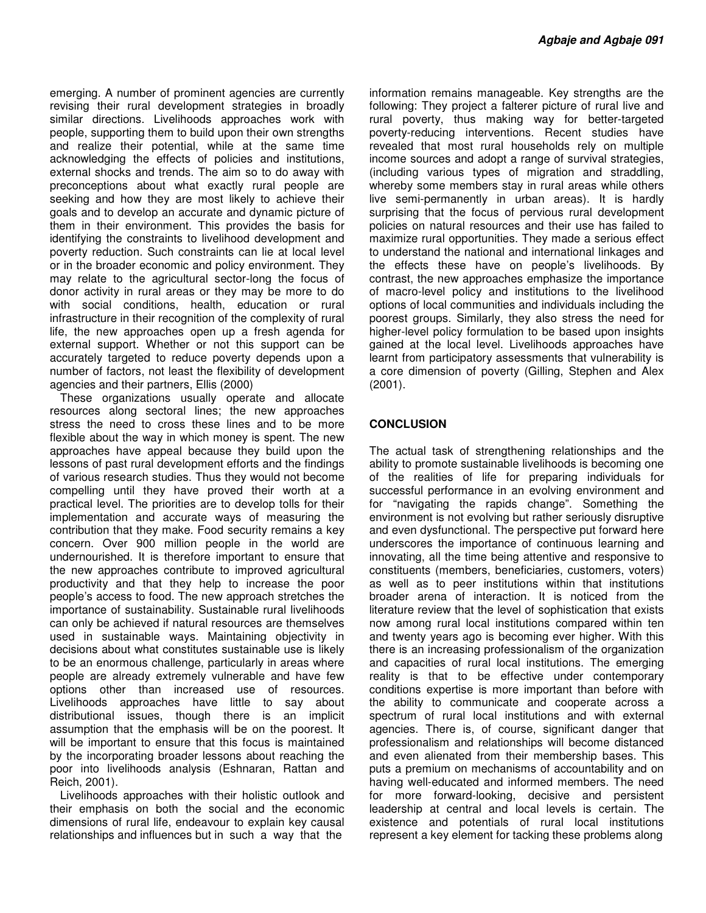emerging. A number of prominent agencies are currently revising their rural development strategies in broadly similar directions. Livelihoods approaches work with people, supporting them to build upon their own strengths and realize their potential, while at the same time acknowledging the effects of policies and institutions, external shocks and trends. The aim so to do away with preconceptions about what exactly rural people are seeking and how they are most likely to achieve their goals and to develop an accurate and dynamic picture of them in their environment. This provides the basis for identifying the constraints to livelihood development and poverty reduction. Such constraints can lie at local level or in the broader economic and policy environment. They may relate to the agricultural sector-long the focus of donor activity in rural areas or they may be more to do with social conditions, health, education or rural infrastructure in their recognition of the complexity of rural life, the new approaches open up a fresh agenda for external support. Whether or not this support can be accurately targeted to reduce poverty depends upon a number of factors, not least the flexibility of development agencies and their partners, Ellis (2000)

These organizations usually operate and allocate resources along sectoral lines; the new approaches stress the need to cross these lines and to be more flexible about the way in which money is spent. The new approaches have appeal because they build upon the lessons of past rural development efforts and the findings of various research studies. Thus they would not become compelling until they have proved their worth at a practical level. The priorities are to develop tolls for their implementation and accurate ways of measuring the contribution that they make. Food security remains a key concern. Over 900 million people in the world are undernourished. It is therefore important to ensure that the new approaches contribute to improved agricultural productivity and that they help to increase the poor people's access to food. The new approach stretches the importance of sustainability. Sustainable rural livelihoods can only be achieved if natural resources are themselves used in sustainable ways. Maintaining objectivity in decisions about what constitutes sustainable use is likely to be an enormous challenge, particularly in areas where people are already extremely vulnerable and have few options other than increased use of resources. Livelihoods approaches have little to say about distributional issues, though there is an implicit assumption that the emphasis will be on the poorest. It will be important to ensure that this focus is maintained by the incorporating broader lessons about reaching the poor into livelihoods analysis (Eshnaran, Rattan and Reich, 2001).

Livelihoods approaches with their holistic outlook and their emphasis on both the social and the economic dimensions of rural life, endeavour to explain key causal relationships and influences but in such a way that the

information remains manageable. Key strengths are the following: They project a falterer picture of rural live and rural poverty, thus making way for better-targeted poverty-reducing interventions. Recent studies have revealed that most rural households rely on multiple income sources and adopt a range of survival strategies, (including various types of migration and straddling, whereby some members stay in rural areas while others live semi-permanently in urban areas). It is hardly surprising that the focus of pervious rural development policies on natural resources and their use has failed to maximize rural opportunities. They made a serious effect to understand the national and international linkages and the effects these have on people's livelihoods. By contrast, the new approaches emphasize the importance of macro-level policy and institutions to the livelihood options of local communities and individuals including the poorest groups. Similarly, they also stress the need for higher-level policy formulation to be based upon insights gained at the local level. Livelihoods approaches have learnt from participatory assessments that vulnerability is a core dimension of poverty (Gilling, Stephen and Alex (2001).

## **CONCLUSION**

The actual task of strengthening relationships and the ability to promote sustainable livelihoods is becoming one of the realities of life for preparing individuals for successful performance in an evolving environment and for "navigating the rapids change". Something the environment is not evolving but rather seriously disruptive and even dysfunctional. The perspective put forward here underscores the importance of continuous learning and innovating, all the time being attentive and responsive to constituents (members, beneficiaries, customers, voters) as well as to peer institutions within that institutions broader arena of interaction. It is noticed from the literature review that the level of sophistication that exists now among rural local institutions compared within ten and twenty years ago is becoming ever higher. With this there is an increasing professionalism of the organization and capacities of rural local institutions. The emerging reality is that to be effective under contemporary conditions expertise is more important than before with the ability to communicate and cooperate across a spectrum of rural local institutions and with external agencies. There is, of course, significant danger that professionalism and relationships will become distanced and even alienated from their membership bases. This puts a premium on mechanisms of accountability and on having well-educated and informed members. The need for more forward-looking, decisive and persistent leadership at central and local levels is certain. The existence and potentials of rural local institutions represent a key element for tacking these problems along